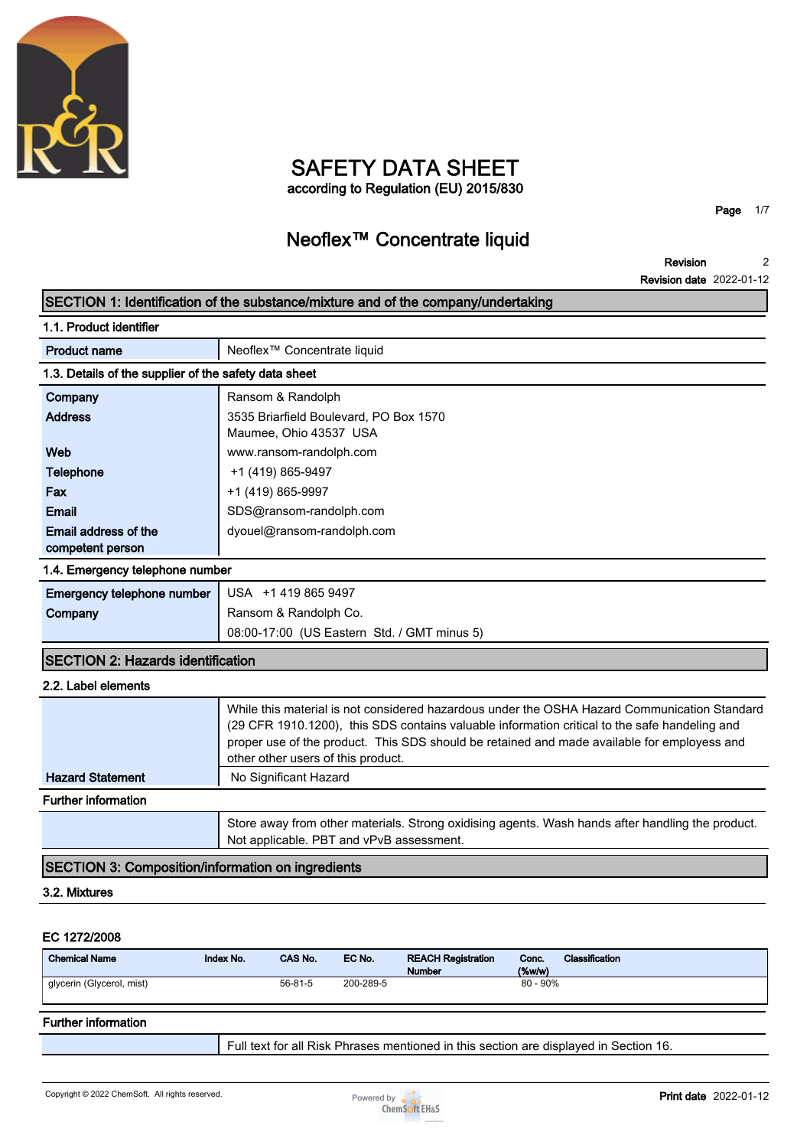

## **SAFETY DATA SHEET according to Regulation (EU) 2015/830**

**Page 1/7**

## **Neoflex™ Concentrate liquid**

**Revision Revision date 2022-01-12 2**

| SECTION 1: Identification of the substance/mixture and of the company/undertaking |                                                                                                                                                                                                                                                                                                                                    |  |  |
|-----------------------------------------------------------------------------------|------------------------------------------------------------------------------------------------------------------------------------------------------------------------------------------------------------------------------------------------------------------------------------------------------------------------------------|--|--|
| 1.1. Product identifier                                                           |                                                                                                                                                                                                                                                                                                                                    |  |  |
| <b>Product name</b>                                                               | Neoflex <sup>™</sup> Concentrate liquid                                                                                                                                                                                                                                                                                            |  |  |
| 1.3. Details of the supplier of the safety data sheet                             |                                                                                                                                                                                                                                                                                                                                    |  |  |
| Company                                                                           | Ransom & Randolph                                                                                                                                                                                                                                                                                                                  |  |  |
| <b>Address</b>                                                                    | 3535 Briarfield Boulevard, PO Box 1570<br>Maumee, Ohio 43537 USA                                                                                                                                                                                                                                                                   |  |  |
| Web                                                                               | www.ransom-randolph.com                                                                                                                                                                                                                                                                                                            |  |  |
| <b>Telephone</b>                                                                  | +1 (419) 865-9497                                                                                                                                                                                                                                                                                                                  |  |  |
| Fax                                                                               | +1 (419) 865-9997                                                                                                                                                                                                                                                                                                                  |  |  |
| <b>Email</b>                                                                      | SDS@ransom-randolph.com                                                                                                                                                                                                                                                                                                            |  |  |
| Email address of the<br>competent person                                          | dyouel@ransom-randolph.com                                                                                                                                                                                                                                                                                                         |  |  |
| 1.4. Emergency telephone number                                                   |                                                                                                                                                                                                                                                                                                                                    |  |  |
| Emergency telephone number                                                        | USA +1 419 865 9497                                                                                                                                                                                                                                                                                                                |  |  |
| Company                                                                           | Ransom & Randolph Co.                                                                                                                                                                                                                                                                                                              |  |  |
|                                                                                   | 08:00-17:00 (US Eastern Std. / GMT minus 5)                                                                                                                                                                                                                                                                                        |  |  |
| <b>SECTION 2: Hazards identification</b>                                          |                                                                                                                                                                                                                                                                                                                                    |  |  |
| 2.2. Label elements                                                               |                                                                                                                                                                                                                                                                                                                                    |  |  |
|                                                                                   | While this material is not considered hazardous under the OSHA Hazard Communication Standard<br>(29 CFR 1910.1200), this SDS contains valuable information critical to the safe handeling and<br>proper use of the product. This SDS should be retained and made available for employess and<br>other other users of this product. |  |  |
| <b>Hazard Statement</b>                                                           | No Significant Hazard                                                                                                                                                                                                                                                                                                              |  |  |
| <b>Further information</b>                                                        |                                                                                                                                                                                                                                                                                                                                    |  |  |
|                                                                                   | Store away from other materials. Strong oxidising agents. Wash hands after handling the product.                                                                                                                                                                                                                                   |  |  |

**SECTION 3: Composition/information on ingredients**

## **3.2. Mixtures**

#### **EC 1272/2008**

| <b>Chemical Name</b>      | Index No. | CAS No.       | EC No.    | <b>REACH Registration</b><br><b>Number</b> | Conc.<br>$(\%w/w)$ | Classification |
|---------------------------|-----------|---------------|-----------|--------------------------------------------|--------------------|----------------|
| glycerin (Glycerol, mist) |           | $56 - 81 - 5$ | 200-289-5 |                                            | $80 - 90\%$        |                |

**Not applicable. PBT and vPvB assessment.**

## **Further information**

**Full text for all Risk Phrases mentioned in this section are displayed in Section 16.**

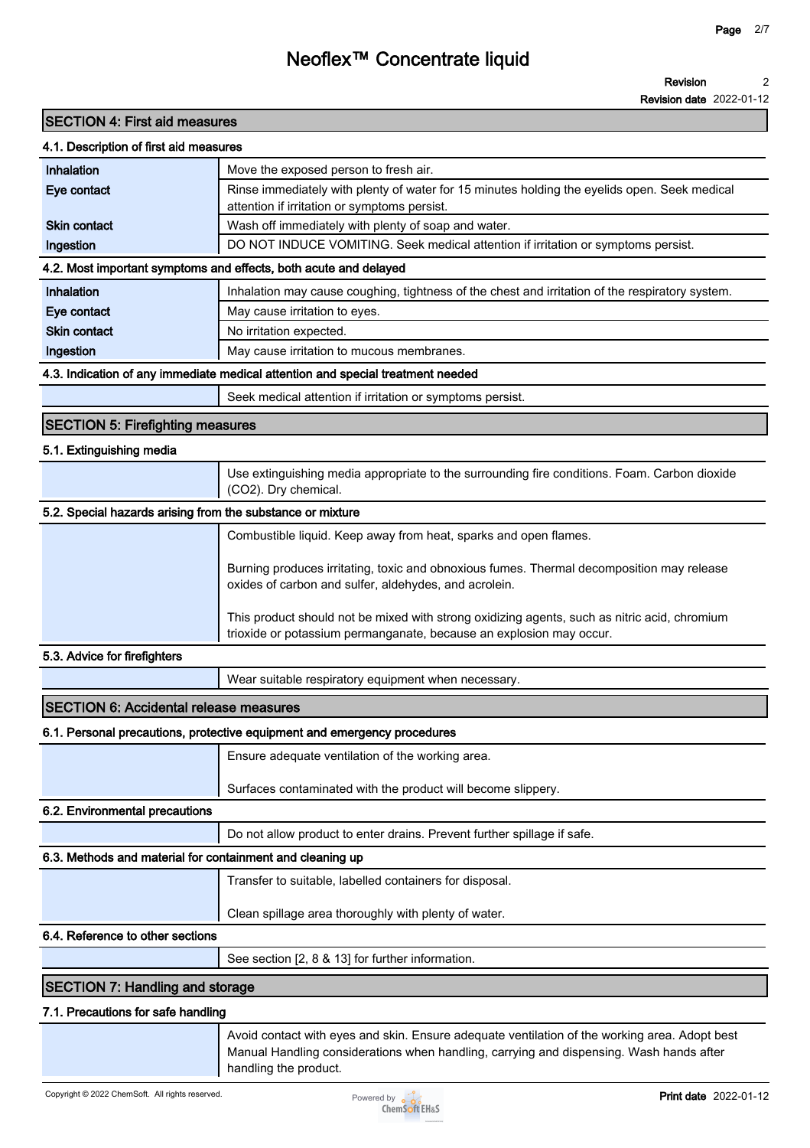#### **Revision 2**

**Revision date 2022-01-12**

## **SECTION 4: First aid measures**

### **4.1. Description of first aid measures**

| Inhalation                                                       | Move the exposed person to fresh air.                                                                                                        |  |  |
|------------------------------------------------------------------|----------------------------------------------------------------------------------------------------------------------------------------------|--|--|
| Eye contact                                                      | Rinse immediately with plenty of water for 15 minutes holding the eyelids open. Seek medical<br>attention if irritation or symptoms persist. |  |  |
| <b>Skin contact</b>                                              | Wash off immediately with plenty of soap and water.                                                                                          |  |  |
| Ingestion                                                        | DO NOT INDUCE VOMITING. Seek medical attention if irritation or symptoms persist.                                                            |  |  |
| 4.2. Most important symptoms and effects, both acute and delayed |                                                                                                                                              |  |  |
| Inhalation                                                       | Inhalation may cause coughing, tightness of the chest and irritation of the respiratory system.                                              |  |  |
| Eye contact                                                      | May cause irritation to eyes.                                                                                                                |  |  |
| <b>Skin contact</b>                                              | No irritation expected.                                                                                                                      |  |  |
| Ingestion                                                        | May cause irritation to mucous membranes.                                                                                                    |  |  |
|                                                                  | 4.3. Indication of any immediate medical attention and special treatment needed                                                              |  |  |

**Seek medical attention if irritation or symptoms persist.**

### **SECTION 5: Firefighting measures**

### **5.1. Extinguishing media**

|                                                            | Use extinguishing media appropriate to the surrounding fire conditions. Foam. Carbon dioxide<br>(CO2). Dry chemical.                                                |
|------------------------------------------------------------|---------------------------------------------------------------------------------------------------------------------------------------------------------------------|
| 5.2. Special hazards arising from the substance or mixture |                                                                                                                                                                     |
|                                                            | Combustible liquid. Keep away from heat, sparks and open flames.                                                                                                    |
|                                                            | Burning produces irritating, toxic and obnoxious fumes. Thermal decomposition may release<br>oxides of carbon and sulfer, aldehydes, and acrolein.                  |
|                                                            | This product should not be mixed with strong oxidizing agents, such as nitric acid, chromium<br>trioxide or potassium permanganate, because an explosion may occur. |

#### **5.3. Advice for firefighters**

**Wear suitable respiratory equipment when necessary.**

## **SECTION 6: Accidental release measures**

### **6.1. Personal precautions, protective equipment and emergency procedures**

**Ensure adequate ventilation of the working area.**

**Surfaces contaminated with the product will become slippery.**

#### **6.2. Environmental precautions**

**Do not allow product to enter drains. Prevent further spillage if safe.**

## **6.3. Methods and material for containment and cleaning up**

**Transfer to suitable, labelled containers for disposal.**

**Clean spillage area thoroughly with plenty of water.**

## **6.4. Reference to other sections**

**See section [2, 8 & 13] for further information.**

## **SECTION 7: Handling and storage**

#### **7.1. Precautions for safe handling**

**Avoid contact with eyes and skin. Ensure adequate ventilation of the working area. Adopt best Manual Handling considerations when handling, carrying and dispensing. Wash hands after handling the product.**

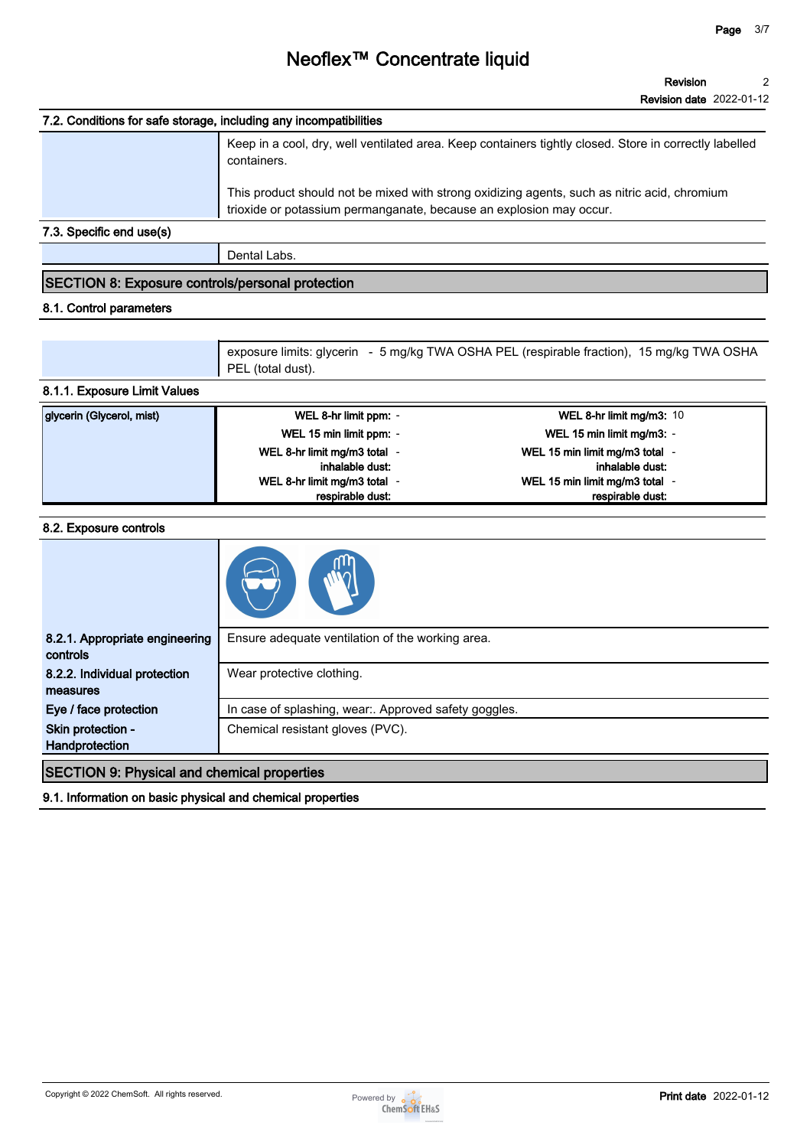| 7.2. Conditions for safe storage, including any incompatibilities |                                                                                                                                                                     |  |  |
|-------------------------------------------------------------------|---------------------------------------------------------------------------------------------------------------------------------------------------------------------|--|--|
|                                                                   | Keep in a cool, dry, well ventilated area. Keep containers tightly closed. Store in correctly labelled<br>containers.                                               |  |  |
|                                                                   | This product should not be mixed with strong oxidizing agents, such as nitric acid, chromium<br>trioxide or potassium permanganate, because an explosion may occur. |  |  |
| 7.3. Specific end use(s)                                          |                                                                                                                                                                     |  |  |

**Dental Labs.**

## **SECTION 8: Exposure controls/personal protection**

## **8.1. Control parameters**

| exposure limits: glycerin - 5 mg/kg TWA OSHA PEL (respirable fraction), 15 mg/kg TWA OSHA |
|-------------------------------------------------------------------------------------------|
| PEL (total dust).                                                                         |

## **8.1.1. Exposure Limit Values**

| glycerin (Glycerol, mist) | WEL 8-hr limit ppm: -        | WEL 8-hr limit mg/m3: 10       |
|---------------------------|------------------------------|--------------------------------|
|                           | WEL 15 min limit ppm: -      | WEL 15 min limit mg/m3: -      |
|                           | WEL 8-hr limit mg/m3 total - | WEL 15 min limit mg/m3 total - |
|                           | inhalable dust:              | inhalable dust:                |
|                           | WEL 8-hr limit mg/m3 total - | WEL 15 min limit mg/m3 total - |
|                           | respirable dust:             | respirable dust:               |

#### **8.2. Exposure controls**

| 8.2.1. Appropriate engineering<br>controls | Ensure adequate ventilation of the working area.      |
|--------------------------------------------|-------------------------------------------------------|
| 8.2.2. Individual protection<br>measures   | Wear protective clothing.                             |
| Eye / face protection                      | In case of splashing, wear:. Approved safety goggles. |
| Skin protection -                          | Chemical resistant gloves (PVC).                      |
| Handprotection                             |                                                       |

## **SECTION 9: Physical and chemical properties**

**9.1. Information on basic physical and chemical properties**

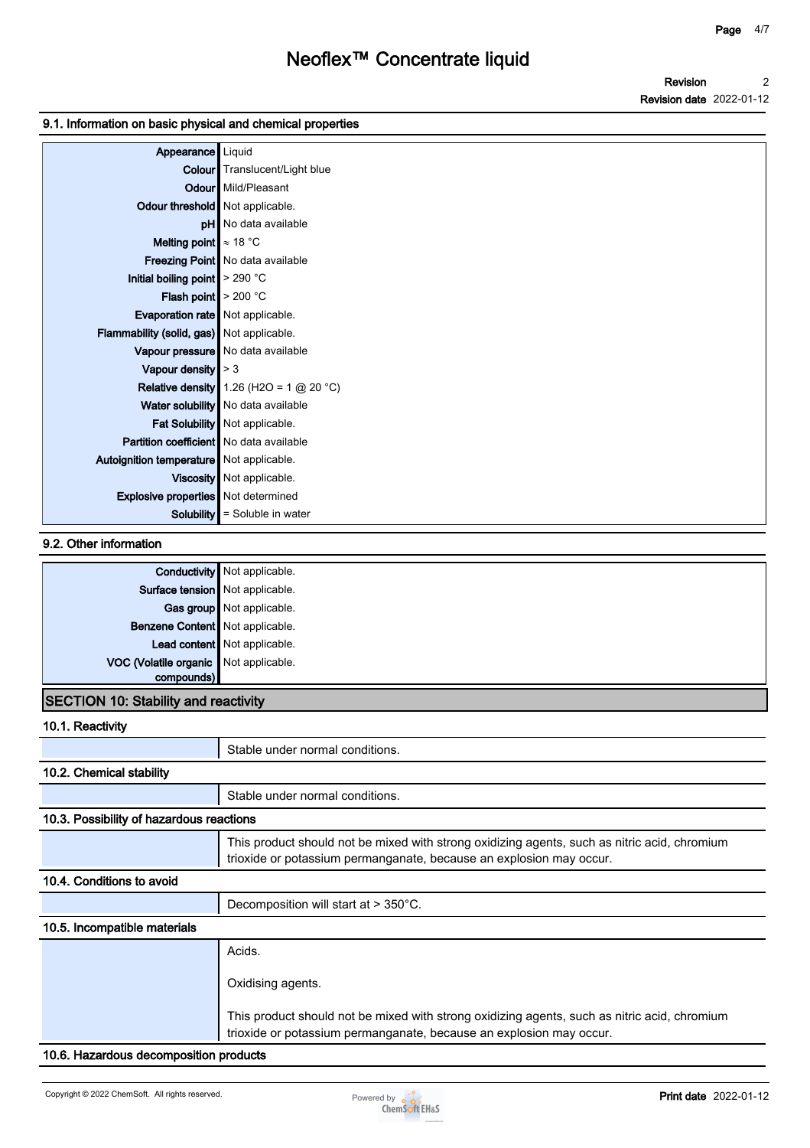## **9.1. Information on basic physical and chemical properties**

| Appearance                                   | Liquid                                       |
|----------------------------------------------|----------------------------------------------|
|                                              | <b>Colour</b> Translucent/Light blue         |
|                                              | <b>Odour</b> Mild/Pleasant                   |
| Odour threshold   Not applicable.            |                                              |
|                                              | <b>pH</b> No data available                  |
| <b>Melting point</b> $\approx 18 \text{ °C}$ |                                              |
|                                              | Freezing Point   No data available           |
| Initial boiling point $\geq 290$ °C          |                                              |
| <b>Flash point</b> $> 200 °C$                |                                              |
| Evaporation rate   Not applicable.           |                                              |
| Flammability (solid, gas) Not applicable.    |                                              |
|                                              | Vapour pressure   No data available          |
| Vapour density $\vert$ > 3                   |                                              |
|                                              | Relative density 1.26 (H2O = 1 $@$ 20 °C)    |
|                                              | Water solubility   No data available         |
|                                              | Fat Solubility   Not applicable.             |
| Partition coefficient   No data available    |                                              |
| Autoignition temperature   Not applicable.   |                                              |
|                                              | Viscosity   Not applicable.                  |
| <b>Explosive properties</b> Not determined   |                                              |
|                                              | <b>Solubility</b> $\vert$ = Soluble in water |

## **9.2. Other information**

|                                             | <b>Conductivity</b> Not applicable. |
|---------------------------------------------|-------------------------------------|
| Surface tension Not applicable.             |                                     |
|                                             | Gas group Not applicable.           |
| Benzene Content   Not applicable.           |                                     |
|                                             | Lead content Not applicable.        |
| VOC (Volatile organic Not applicable.       |                                     |
| compounds)                                  |                                     |
| <b>SECTION 10: Stability and reactivity</b> |                                     |

## **10.1. Reactivity**

| וט. ו. ו <i>ו</i> סטעו זונ               |                                                                                                                                                                     |
|------------------------------------------|---------------------------------------------------------------------------------------------------------------------------------------------------------------------|
|                                          | Stable under normal conditions.                                                                                                                                     |
| 10.2. Chemical stability                 |                                                                                                                                                                     |
|                                          | Stable under normal conditions.                                                                                                                                     |
| 10.3. Possibility of hazardous reactions |                                                                                                                                                                     |
|                                          | This product should not be mixed with strong oxidizing agents, such as nitric acid, chromium<br>trioxide or potassium permanganate, because an explosion may occur. |
| 10.4. Conditions to avoid                |                                                                                                                                                                     |
|                                          | Decomposition will start at > 350°C.                                                                                                                                |
| 10.5. Incompatible materials             |                                                                                                                                                                     |
|                                          | Acids.                                                                                                                                                              |
|                                          | Oxidising agents.                                                                                                                                                   |
|                                          | This product should not be mixed with strong oxidizing agents, such as nitric acid, chromium<br>trioxide or potassium permanganate, because an explosion may occur. |
| 10.6. Hazardous decomposition products   |                                                                                                                                                                     |

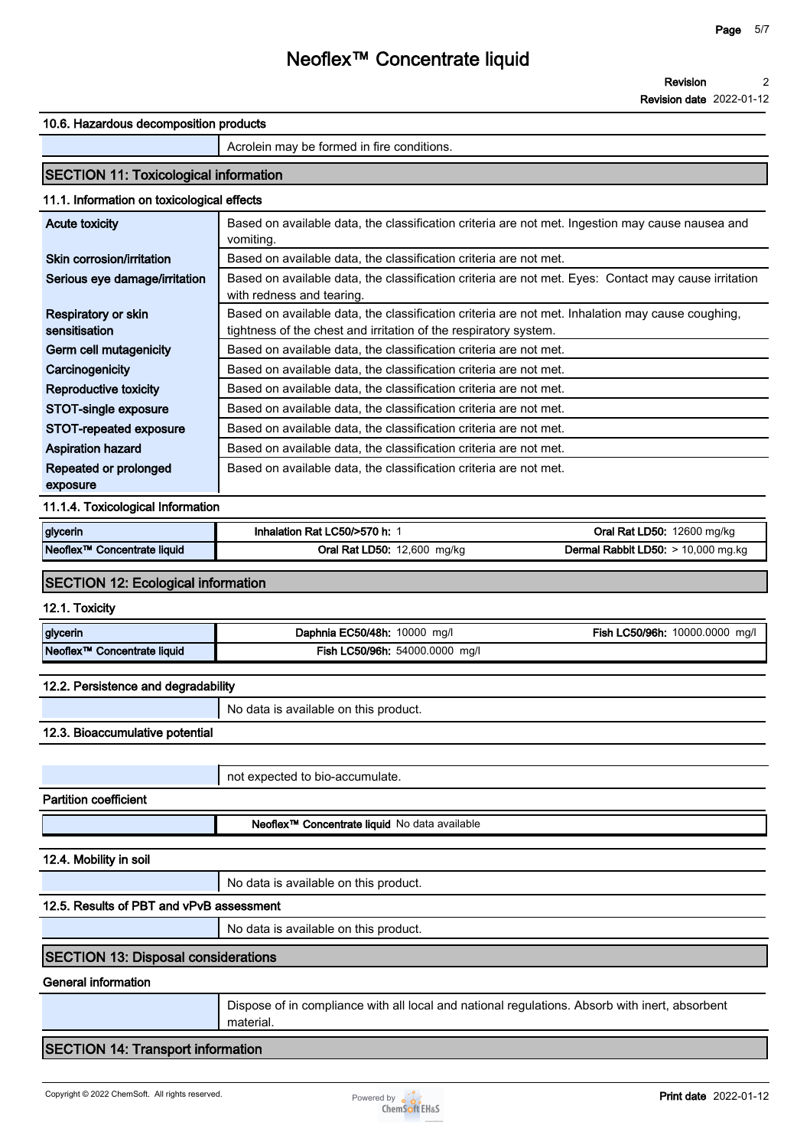### **10.6. Hazardous decomposition products**

**Acrolein may be formed in fire conditions.**

## **SECTION 11: Toxicological information**

## **11.1. Information on toxicological effects**

| Acute toxicity                       | Based on available data, the classification criteria are not met. Ingestion may cause nausea and<br>vomiting.                                                        |
|--------------------------------------|----------------------------------------------------------------------------------------------------------------------------------------------------------------------|
| Skin corrosion/irritation            | Based on available data, the classification criteria are not met.                                                                                                    |
| Serious eye damage/irritation        | Based on available data, the classification criteria are not met. Eyes: Contact may cause irritation<br>with redness and tearing.                                    |
| Respiratory or skin<br>sensitisation | Based on available data, the classification criteria are not met. Inhalation may cause coughing,<br>tightness of the chest and irritation of the respiratory system. |
| Germ cell mutagenicity               | Based on available data, the classification criteria are not met.                                                                                                    |
| Carcinogenicity                      | Based on available data, the classification criteria are not met.                                                                                                    |
| Reproductive toxicity                | Based on available data, the classification criteria are not met.                                                                                                    |
| STOT-single exposure                 | Based on available data, the classification criteria are not met.                                                                                                    |
| STOT-repeated exposure               | Based on available data, the classification criteria are not met.                                                                                                    |
| <b>Aspiration hazard</b>             | Based on available data, the classification criteria are not met.                                                                                                    |
| Repeated or prolonged                | Based on available data, the classification criteria are not met.                                                                                                    |
| exposure                             |                                                                                                                                                                      |

### **11.1.4. Toxicological Information**

| glycerin                                 | Inhalation Rat LC50/>570 h:   | 12600 mg/kg<br>LD50:<br>ירי<br>.)rai      |
|------------------------------------------|-------------------------------|-------------------------------------------|
| $N$ eoflex™<br><b>Concentrate liquid</b> | D50:<br>2.600<br>ma/ka<br>Rai | LD50:<br>10,000 mg.kg<br>Rabbit<br>Jermal |

## **SECTION 12: Ecological information**

#### **12.1. Toxicity**

| glycerin                                   | Daphnia EC50/48h:<br>10000<br>mg/l   | `50/96h.<br>10000.0000<br>ma/l<br>-ish |
|--------------------------------------------|--------------------------------------|----------------------------------------|
| Neoflex <sup>™</sup><br>Concentrate liquid | Fish LC50/96h:<br>54000.0000<br>mg/l |                                        |

#### **12.2. Persistence and degradability**

**No data is available on this product.**

## **12.3. Bioaccumulative potential**

**not expected to bio-accumulate. Partition coefficient Neoflex™ Concentrate liquid No data available**

**12.4. Mobility in soil**

**No data is available on this product.**

## **12.5. Results of PBT and vPvB assessment**

**No data is available on this product.**

## **SECTION 13: Disposal considerations**

### **General information**

**Dispose of in compliance with all local and national regulations. Absorb with inert, absorbent material.**

## **SECTION 14: Transport information**

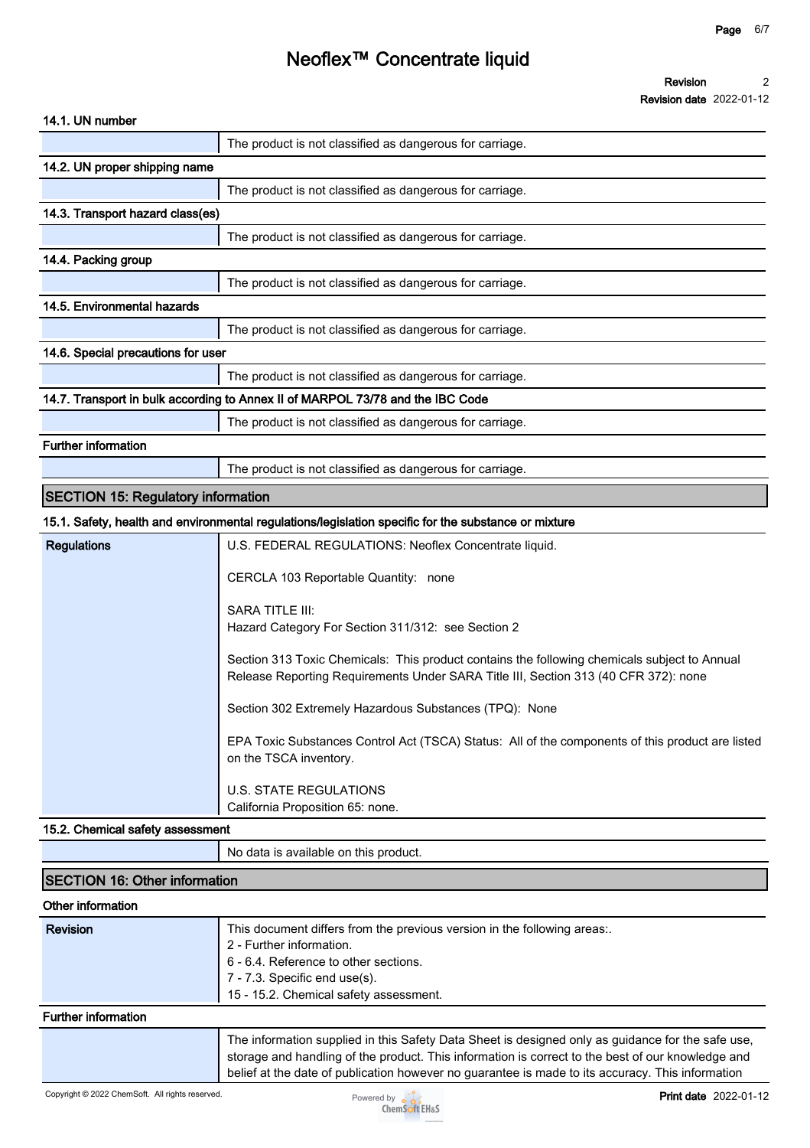## **14.1. UN number**

|                                           | The product is not classified as dangerous for carriage.                                                                                                                            |
|-------------------------------------------|-------------------------------------------------------------------------------------------------------------------------------------------------------------------------------------|
| 14.2. UN proper shipping name             |                                                                                                                                                                                     |
|                                           | The product is not classified as dangerous for carriage.                                                                                                                            |
| 14.3. Transport hazard class(es)          |                                                                                                                                                                                     |
|                                           | The product is not classified as dangerous for carriage.                                                                                                                            |
| 14.4. Packing group                       |                                                                                                                                                                                     |
|                                           | The product is not classified as dangerous for carriage.                                                                                                                            |
| 14.5. Environmental hazards               |                                                                                                                                                                                     |
|                                           | The product is not classified as dangerous for carriage.                                                                                                                            |
| 14.6. Special precautions for user        |                                                                                                                                                                                     |
|                                           | The product is not classified as dangerous for carriage.                                                                                                                            |
|                                           | 14.7. Transport in bulk according to Annex II of MARPOL 73/78 and the IBC Code                                                                                                      |
|                                           | The product is not classified as dangerous for carriage.                                                                                                                            |
| <b>Further information</b>                |                                                                                                                                                                                     |
|                                           | The product is not classified as dangerous for carriage.                                                                                                                            |
| <b>SECTION 15: Regulatory information</b> |                                                                                                                                                                                     |
|                                           | 15.1. Safety, health and environmental regulations/legislation specific for the substance or mixture                                                                                |
| <b>Regulations</b>                        | U.S. FEDERAL REGULATIONS: Neoflex Concentrate liquid.                                                                                                                               |
|                                           | CERCLA 103 Reportable Quantity: none                                                                                                                                                |
|                                           | <b>SARA TITLE III:</b><br>Hazard Category For Section 311/312: see Section 2                                                                                                        |
|                                           | Section 313 Toxic Chemicals: This product contains the following chemicals subject to Annual<br>Release Reporting Requirements Under SARA Title III, Section 313 (40 CFR 372): none |
|                                           | Section 302 Extremely Hazardous Substances (TPQ): None                                                                                                                              |
|                                           | EPA Toxic Substances Control Act (TSCA) Status: All of the components of this product are listed<br>on the TSCA inventory.                                                          |
|                                           | <b>U.S. STATE REGULATIONS</b><br>California Proposition 65: none.                                                                                                                   |

#### **15.2. Chemical safety assessment**

**No data is available on this product.**

## **SECTION 16: Other information**

## **Other information**

| Revision            | This document differs from the previous version in the following areas:.<br>2 - Further information.<br>6 - 6.4. Reference to other sections.<br>$7 - 7.3$ . Specific end use(s).<br>15 - 15.2. Chemical safety assessment. |
|---------------------|-----------------------------------------------------------------------------------------------------------------------------------------------------------------------------------------------------------------------------|
| Eurthor information |                                                                                                                                                                                                                             |

#### **Further information**

**The information supplied in this Safety Data Sheet is designed only as guidance for the safe use, storage and handling of the product. This information is correct to the best of our knowledge and belief at the date of publication however no guarantee is made to its accuracy. This information**